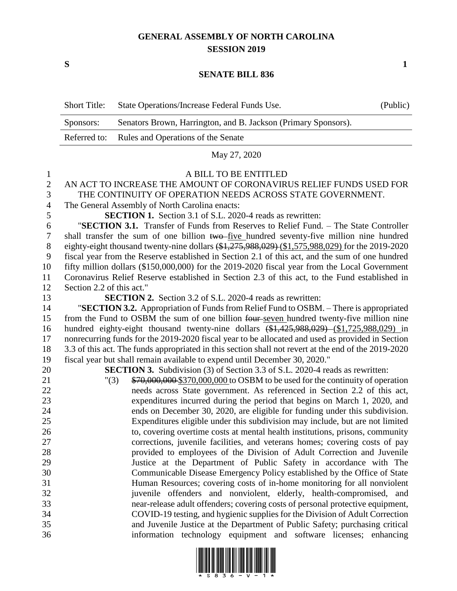## **GENERAL ASSEMBLY OF NORTH CAROLINA SESSION 2019**

**S 1**

## **SENATE BILL 836**

|                | <b>Short Title:</b>                                                                             | State Operations/Increase Federal Funds Use.                                                                                                | (Public) |
|----------------|-------------------------------------------------------------------------------------------------|---------------------------------------------------------------------------------------------------------------------------------------------|----------|
|                | Sponsors:                                                                                       | Senators Brown, Harrington, and B. Jackson (Primary Sponsors).                                                                              |          |
|                | Referred to:                                                                                    | Rules and Operations of the Senate                                                                                                          |          |
|                |                                                                                                 | May 27, 2020                                                                                                                                |          |
| 1              |                                                                                                 | A BILL TO BE ENTITLED                                                                                                                       |          |
| $\mathbf{2}$   |                                                                                                 | AN ACT TO INCREASE THE AMOUNT OF CORONAVIRUS RELIEF FUNDS USED FOR                                                                          |          |
| 3              | THE CONTINUITY OF OPERATION NEEDS ACROSS STATE GOVERNMENT.                                      |                                                                                                                                             |          |
| $\overline{4}$ | The General Assembly of North Carolina enacts:                                                  |                                                                                                                                             |          |
| 5              |                                                                                                 | <b>SECTION 1.</b> Section 3.1 of S.L. 2020-4 reads as rewritten:                                                                            |          |
| 6              |                                                                                                 | "SECTION 3.1. Transfer of Funds from Reserves to Relief Fund. - The State Controller                                                        |          |
| $\tau$         |                                                                                                 | shall transfer the sum of one billion two-five hundred seventy-five million nine hundred                                                    |          |
| 8              |                                                                                                 | eighty-eight thousand twenty-nine dollars (\$1,275,988,029) (\$1,575,988,029) for the 2019-2020                                             |          |
| 9              | fiscal year from the Reserve established in Section 2.1 of this act, and the sum of one hundred |                                                                                                                                             |          |
| 10             |                                                                                                 | fifty million dollars (\$150,000,000) for the 2019-2020 fiscal year from the Local Government                                               |          |
| 11             | Coronavirus Relief Reserve established in Section 2.3 of this act, to the Fund established in   |                                                                                                                                             |          |
| 12             | Section 2.2 of this act."                                                                       |                                                                                                                                             |          |
| 13             |                                                                                                 | <b>SECTION 2.</b> Section 3.2 of S.L. 2020-4 reads as rewritten:                                                                            |          |
| 14             |                                                                                                 | "SECTION 3.2. Appropriation of Funds from Relief Fund to OSBM. - There is appropriated                                                      |          |
| 15             | from the Fund to OSBM the sum of one billion four-seven hundred twenty-five million nine        |                                                                                                                                             |          |
| 16             |                                                                                                 | hundred eighty-eight thousand twenty-nine dollars (\$1,425,988,029) (\$1,725,988,029) in                                                    |          |
| 17             |                                                                                                 | nonrecurring funds for the 2019-2020 fiscal year to be allocated and used as provided in Section                                            |          |
| 18             |                                                                                                 | 3.3 of this act. The funds appropriated in this section shall not revert at the end of the 2019-2020                                        |          |
| 19             |                                                                                                 | fiscal year but shall remain available to expend until December 30, 2020."                                                                  |          |
| 20             |                                                                                                 | <b>SECTION 3.</b> Subdivision (3) of Section 3.3 of S.L. 2020-4 reads as rewritten:                                                         |          |
| 21             |                                                                                                 | \$70,000,000 \$370,000,000 to OSBM to be used for the continuity of operation<br>"(3)                                                       |          |
| 22             |                                                                                                 | needs across State government. As referenced in Section 2.2 of this act,                                                                    |          |
| 23             |                                                                                                 | expenditures incurred during the period that begins on March 1, 2020, and                                                                   |          |
| 24             |                                                                                                 | ends on December 30, 2020, are eligible for funding under this subdivision.                                                                 |          |
| 25             |                                                                                                 | Expenditures eligible under this subdivision may include, but are not limited                                                               |          |
| 26             |                                                                                                 | to, covering overtime costs at mental health institutions, prisons, community                                                               |          |
| 27             |                                                                                                 | corrections, juvenile facilities, and veterans homes; covering costs of pay                                                                 |          |
| 28             |                                                                                                 | provided to employees of the Division of Adult Correction and Juvenile<br>Justice at the Department of Public Safety in accordance with The |          |
| 29<br>30       |                                                                                                 | Communicable Disease Emergency Policy established by the Office of State                                                                    |          |
| 31             |                                                                                                 | Human Resources; covering costs of in-home monitoring for all nonviolent                                                                    |          |
| 32             |                                                                                                 | juvenile offenders and nonviolent, elderly, health-compromised, and                                                                         |          |
| 33             |                                                                                                 | near-release adult offenders; covering costs of personal protective equipment,                                                              |          |
| 34             |                                                                                                 | COVID-19 testing, and hygienic supplies for the Division of Adult Correction                                                                |          |
| 35             |                                                                                                 | and Juvenile Justice at the Department of Public Safety; purchasing critical                                                                |          |
| 36             |                                                                                                 | information technology equipment and software licenses; enhancing                                                                           |          |